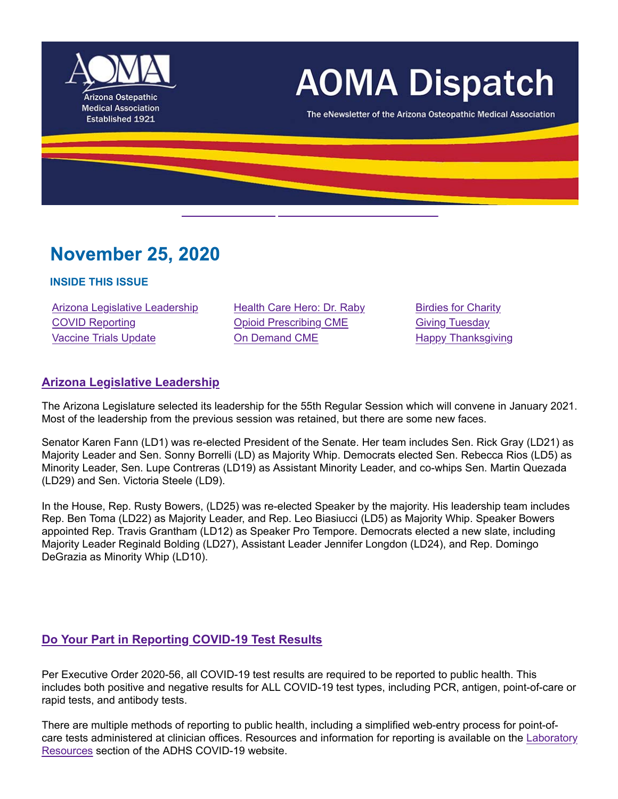

# **AOMA Dispatch**

The eNewsletter of the Arizona Osteopathic Medical Association

## **November 25, 2020**

#### **INSIDE THIS ISSUE**

Arizona Legislative Leadership Health Care Hero: Dr. Raby Birdies for Charity COVID Reporting Opioid Prescribing CME Giving Tuesday Vaccine Trials Update **On Demand CME** Happy Thanksgiving

#### **Arizona Legislative Leadership**

The Arizona Legislature selected its leadership for the 55th Regular Session which will convene in January 2021. Most of the leadership from the previous session was retained, but there are some new faces.

Senator Karen Fann (LD1) was re-elected President of the Senate. Her team includes Sen. Rick Gray (LD21) as Majority Leader and Sen. Sonny Borrelli (LD) as Majority Whip. Democrats elected Sen. Rebecca Rios (LD5) as Minority Leader, Sen. Lupe Contreras (LD19) as Assistant Minority Leader, and co-whips Sen. Martin Quezada (LD29) and Sen. Victoria Steele (LD9).

In the House, Rep. Rusty Bowers, (LD25) was re-elected Speaker by the majority. His leadership team includes Rep. Ben Toma (LD22) as Majority Leader, and Rep. Leo Biasiucci (LD5) as Majority Whip. Speaker Bowers appointed Rep. Travis Grantham (LD12) as Speaker Pro Tempore. Democrats elected a new slate, including Majority Leader Reginald Bolding (LD27), Assistant Leader Jennifer Longdon (LD24), and Rep. Domingo DeGrazia as Minority Whip (LD10).

#### **Do Your Part in Reporting COVID-19 Test Results**

Per Executive Order 2020-56, all COVID-19 test results are required to be reported to public health. This includes both positive and negative results for ALL COVID-19 test types, including PCR, antigen, point-of-care or rapid tests, and antibody tests.

There are multiple methods of reporting to public health, including a simplified web-entry process for point-ofcare tests administered at clinician offices. Resources and information for reporting is available on the Laboratory Resources section of the ADHS COVID-19 website.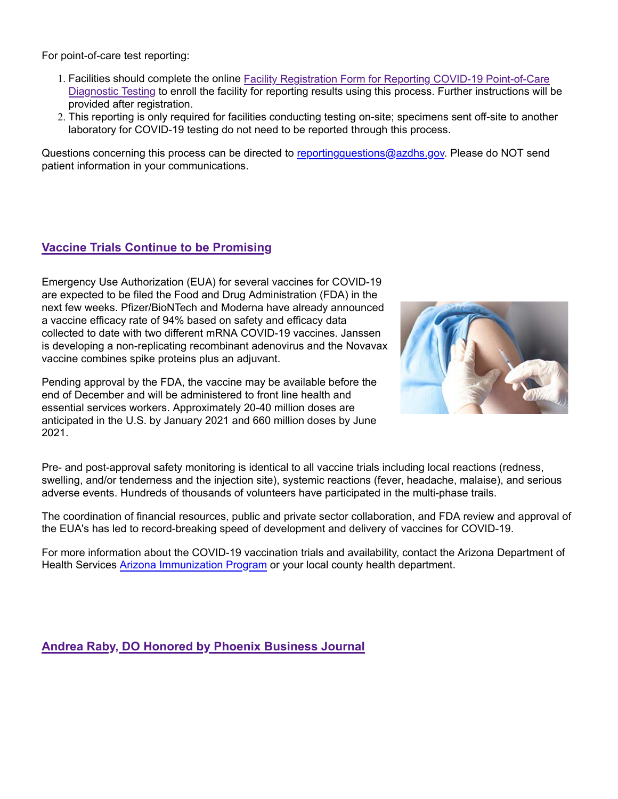For point-of-care test reporting:

- 1. Facilities should complete the online Facility Registration Form for Reporting COVID-19 Point-of-Care Diagnostic Testing to enroll the facility for reporting results using this process. Further instructions will be provided after registration.
- 2. This reporting is only required for facilities conducting testing on-site; specimens sent off-site to another laboratory for COVID-19 testing do not need to be reported through this process.

Questions concerning this process can be directed to reportingquestions@azdhs.gov. Please do NOT send patient information in your communications.

#### **Vaccine Trials Continue to be Promising**

Emergency Use Authorization (EUA) for several vaccines for COVID-19 are expected to be filed the Food and Drug Administration (FDA) in the next few weeks. Pfizer/BioNTech and Moderna have already announced a vaccine efficacy rate of 94% based on safety and efficacy data collected to date with two different mRNA COVID-19 vaccines. Janssen is developing a non-replicating recombinant adenovirus and the Novavax vaccine combines spike proteins plus an adjuvant.

Pending approval by the FDA, the vaccine may be available before the end of December and will be administered to front line health and essential services workers. Approximately 20-40 million doses are anticipated in the U.S. by January 2021 and 660 million doses by June 2021.



Pre- and post-approval safety monitoring is identical to all vaccine trials including local reactions (redness, swelling, and/or tenderness and the injection site), systemic reactions (fever, headache, malaise), and serious adverse events. Hundreds of thousands of volunteers have participated in the multi-phase trails.

The coordination of financial resources, public and private sector collaboration, and FDA review and approval of the EUA's has led to record-breaking speed of development and delivery of vaccines for COVID-19.

For more information about the COVID-19 vaccination trials and availability, contact the Arizona Department of Health Services Arizona Immunization Program or your local county health department.

#### **Andrea Raby, DO Honored by Phoenix Business Journal**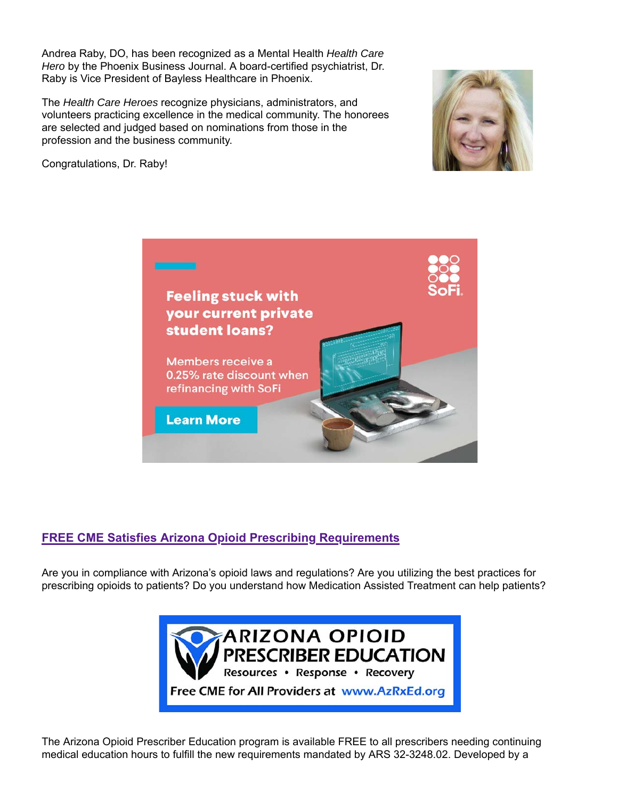Andrea Raby, DO, has been recognized as a Mental Health *Health Care Hero* by the Phoenix Business Journal. A board-certified psychiatrist, Dr. Raby is Vice President of Bayless Healthcare in Phoenix.

The *Health Care Heroes* recognize physicians, administrators, and volunteers practicing excellence in the medical community. The honorees are selected and judged based on nominations from those in the profession and the business community.



Congratulations, Dr. Raby!



#### **FREE CME Satisfies Arizona Opioid Prescribing Requirements**

Are you in compliance with Arizona's opioid laws and regulations? Are you utilizing the best practices for prescribing opioids to patients? Do you understand how Medication Assisted Treatment can help patients?



The Arizona Opioid Prescriber Education program is available FREE to all prescribers needing continuing medical education hours to fulfill the new requirements mandated by ARS 32-3248.02. Developed by a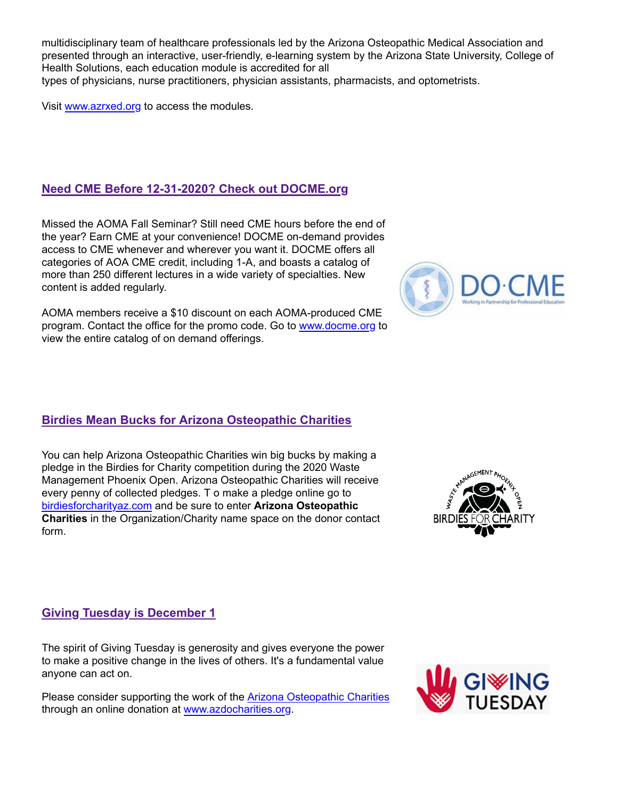multidisciplinary team of healthcare professionals led by the Arizona Osteopathic Medical Association and presented through an interactive, user-friendly, e-learning system by the Arizona State University, College of Health Solutions, each education module is accredited for all types of physicians, nurse practitioners, physician assistants, pharmacists, and optometrists.

Visit www.azrxed.org to access the modules.

#### **Need CME Before 12-31-2020? Check out DOCME.org**

Missed the AOMA Fall Seminar? Still need CME hours before the end of the year? Earn CME at your convenience! DOCME on-demand provides access to CME whenever and wherever you want it. DOCME offers all categories of AOA CME credit, including 1-A, and boasts a catalog of more than 250 different lectures in a wide variety of specialties. New content is added regularly.

AOMA members receive a \$10 discount on each AOMA-produced CME program. Contact the office for the promo code. Go to www.docme.org to view the entire catalog of on demand offerings.

#### **Birdies Mean Bucks for Arizona Osteopathic Charities**

You can help Arizona Osteopathic Charities win big bucks by making a pledge in the Birdies for Charity competition during the 2020 Waste Management Phoenix Open. Arizona Osteopathic Charities will receive every penny of collected pledges. T o make a pledge online go to birdiesforcharityaz.com and be sure to enter **Arizona Osteopathic Charities** in the Organization/Charity name space on the donor contact form.



#### **Giving Tuesday is December 1**

The spirit of Giving Tuesday is generosity and gives everyone the power to make a positive change in the lives of others. It's a fundamental value anyone can act on.

Please consider supporting the work of the Arizona Osteopathic Charities through an online donation at www.azdocharities.org.

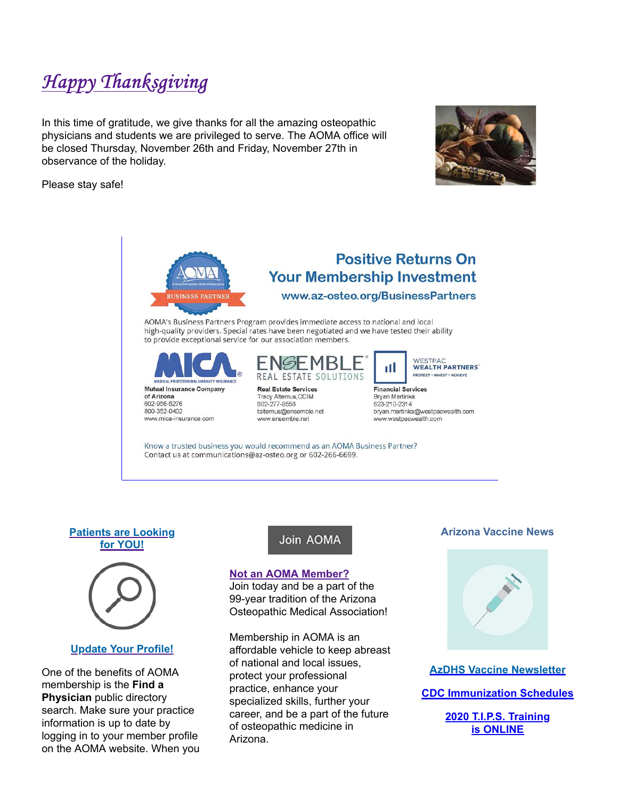# Happy Thanksgiving

In this time of gratitude, we give thanks for all the amazing osteopathic physicians and students we are privileged to serve. The AOMA office will be closed Thursday, November 26th and Friday, November 27th in observance of the holiday.



Please stay safe!



### **Positive Returns On Your Membership Investment** www.az-osteo.org/BusinessPartners

AOMA's Business Partners Program provides immediate access to national and local high-quality providers. Special rates have been negotiated and we have tested their ability to provide exceptional service for our association members.



of Arizona 602-956-5276 800-352-0402 www.mica-insurance.com



**Real Estate Services** Tracy Altemus, CCIM 602-277-8558 taltemus@ensemble.net www.ensemble.net



**Financial Services** Bryan Martinka 623-210-2314 bryan.martinka@westpacwealth.com www.westpacwealth.com

Know a trusted business you would recommend as an AOMA Business Partner? Contact us at communications@az-osteo.org or 602-266-6699.

#### **Patients are Looking for YOU!**



#### **Update Your Profile!**

One of the benefits of AOMA membership is the **Find a Physician** public directory search. Make sure your practice information is up to date by logging in to your member profile on the AOMA website. When you

#### Join AOMA

#### **Not an AOMA Member?**

Join today and be a part of the 99-year tradition of the Arizona Osteopathic Medical Association!

Membership in AOMA is an affordable vehicle to keep abreast of national and local issues, protect your professional practice, enhance your specialized skills, further your career, and be a part of the future of osteopathic medicine in Arizona.

#### **Arizona Vaccine News**



**AzDHS Vaccine Newsletter**

**CDC Immunization Schedules**

**2020 T.I.P.S. Training is ONLINE**